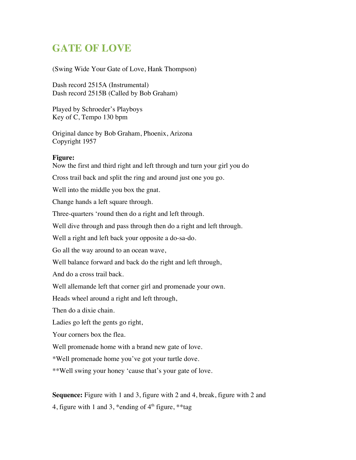## **GATE OF LOVE**

(Swing Wide Your Gate of Love, Hank Thompson)

Dash record 2515A (Instrumental) Dash record 2515B (Called by Bob Graham)

Played by Schroeder's Playboys Key of C, Tempo 130 bpm

Original dance by Bob Graham, Phoenix, Arizona Copyright 1957

## **Figure:**

Now the first and third right and left through and turn your girl you do

Cross trail back and split the ring and around just one you go.

Well into the middle you box the gnat.

Change hands a left square through.

Three-quarters 'round then do a right and left through.

Well dive through and pass through then do a right and left through.

Well a right and left back your opposite a do-sa-do.

Go all the way around to an ocean wave,

Well balance forward and back do the right and left through,

And do a cross trail back.

Well allemande left that corner girl and promenade your own.

Heads wheel around a right and left through,

Then do a dixie chain.

Ladies go left the gents go right,

Your corners box the flea.

Well promenade home with a brand new gate of love.

\*Well promenade home you've got your turtle dove.

\*\*Well swing your honey 'cause that's your gate of love.

**Sequence:** Figure with 1 and 3, figure with 2 and 4, break, figure with 2 and 4, figure with 1 and 3, \*ending of  $4<sup>th</sup>$  figure, \*\*tag